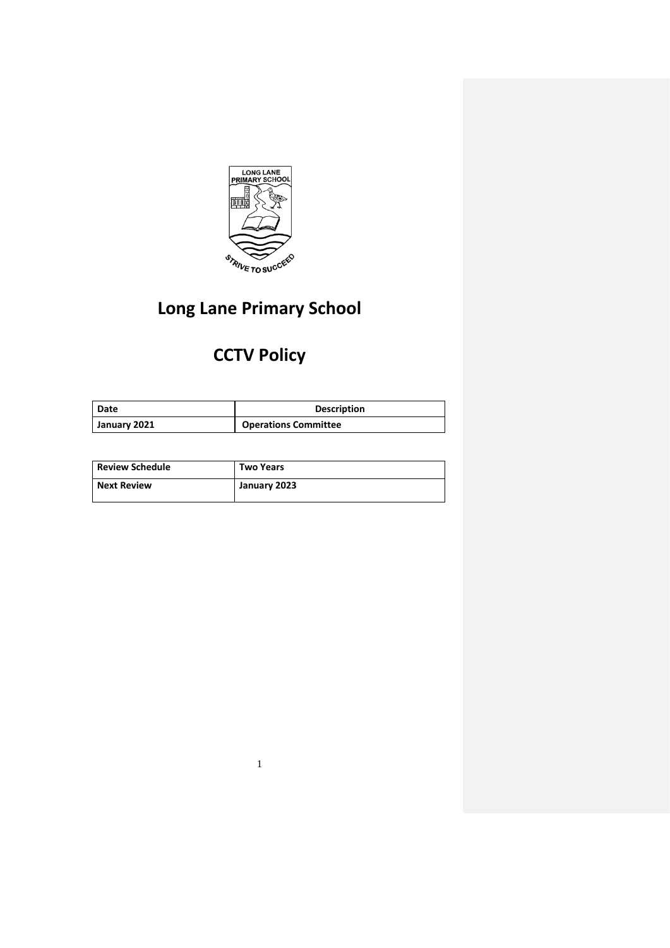

# **Long Lane Primary School**

# **CCTV Policy**

| l Date       | <b>Description</b>          |
|--------------|-----------------------------|
| January 2021 | <b>Operations Committee</b> |

| <b>Review Schedule</b> | <b>Two Years</b> |
|------------------------|------------------|
| <b>Next Review</b>     | January 2023     |

1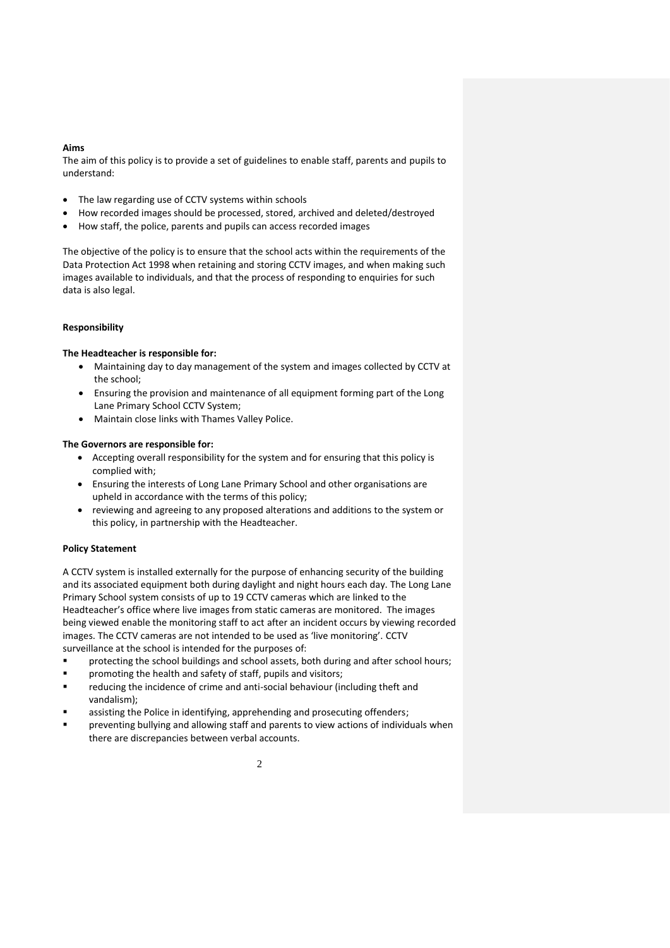## **Aims**

The aim of this policy is to provide a set of guidelines to enable staff, parents and pupils to understand:

- The law regarding use of CCTV systems within schools
- How recorded images should be processed, stored, archived and deleted/destroyed
- How staff, the police, parents and pupils can access recorded images

The objective of the policy is to ensure that the school acts within the requirements of the Data Protection Act 1998 when retaining and storing CCTV images, and when making such images available to individuals, and that the process of responding to enquiries for such data is also legal.

## **Responsibility**

## **The Headteacher is responsible for:**

- Maintaining day to day management of the system and images collected by CCTV at the school;
- Ensuring the provision and maintenance of all equipment forming part of the Long Lane Primary School CCTV System;
- Maintain close links with Thames Valley Police.

## **The Governors are responsible for:**

- Accepting overall responsibility for the system and for ensuring that this policy is complied with;
- Ensuring the interests of Long Lane Primary School and other organisations are upheld in accordance with the terms of this policy;
- reviewing and agreeing to any proposed alterations and additions to the system or this policy, in partnership with the Headteacher.

## **Policy Statement**

A CCTV system is installed externally for the purpose of enhancing security of the building and its associated equipment both during daylight and night hours each day. The Long Lane Primary School system consists of up to 19 CCTV cameras which are linked to the Headteacher's office where live images from static cameras are monitored. The images being viewed enable the monitoring staff to act after an incident occurs by viewing recorded images. The CCTV cameras are not intended to be used as 'live monitoring'. CCTV surveillance at the school is intended for the purposes of:

- protecting the school buildings and school assets, both during and after school hours;
- promoting the health and safety of staff, pupils and visitors;
- reducing the incidence of crime and anti-social behaviour (including theft and vandalism);
- assisting the Police in identifying, apprehending and prosecuting offenders;
- preventing bullying and allowing staff and parents to view actions of individuals when there are discrepancies between verbal accounts.

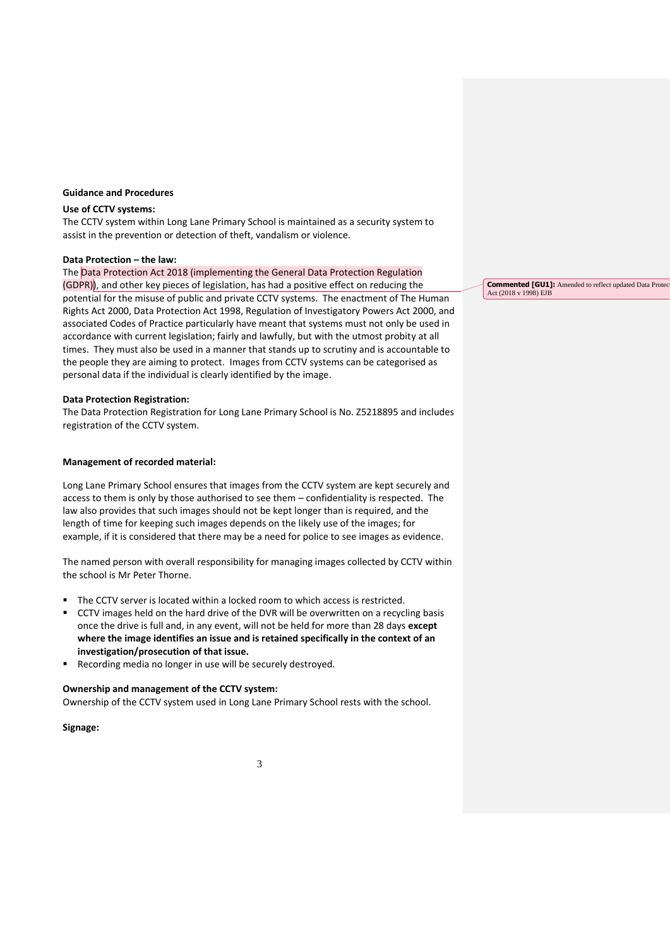#### **Guidance and Procedures**

### **Use of CCTV systems:**

The CCTV system within Long Lane Primary School is maintained as a security system to assist in the prevention or detection of theft, vandalism or violence.

## **Data Protection – the law:**

The Data Protection Act 2018 (implementing the General Data Protection Regulation (GDPR)), and other key pieces of legislation, has had a positive effect on reducing the potential for the misuse of public and private CCTV systems. The enactment of The Human Rights Act 2000, Data Protection Act 1998, Regulation of Investigatory Powers Act 2000, and associated Codes of Practice particularly have meant that systems must not only be used in accordance with current legislation; fairly and lawfully, but with the utmost probity at all times. They must also be used in a manner that stands up to scrutiny and is accountable to the people they are aiming to protect. Images from CCTV systems can be categorised as personal data if the individual is clearly identified by the image.

# **Data Protection Registration:**

The Data Protection Registration for Long Lane Primary School is No. Z5218895 and includes registration of the CCTV system.

#### **Management of recorded material:**

Long Lane Primary School ensures that images from the CCTV system are kept securely and access to them is only by those authorised to see them – confidentiality is respected. The law also provides that such images should not be kept longer than is required, and the length of time for keeping such images depends on the likely use of the images; for example, if it is considered that there may be a need for police to see images as evidence.

The named person with overall responsibility for managing images collected by CCTV within the school is Mr Peter Thorne.

- The CCTV server is located within a locked room to which access is restricted.
- CCTV images held on the hard drive of the DVR will be overwritten on a recycling basis once the drive is full and, in any event, will not be held for more than 28 days **except where the image identifies an issue and is retained specifically in the context of an investigation/prosecution of that issue.**
- **Recording media no longer in use will be securely destroyed.**

### **Ownership and management of the CCTV system:**

Ownership of the CCTV system used in Long Lane Primary School rests with the school.

3

## **Signage:**

**Commented [GU1]:** Amended to reflect updated Data Protection Act (2018 v 1998) EJB